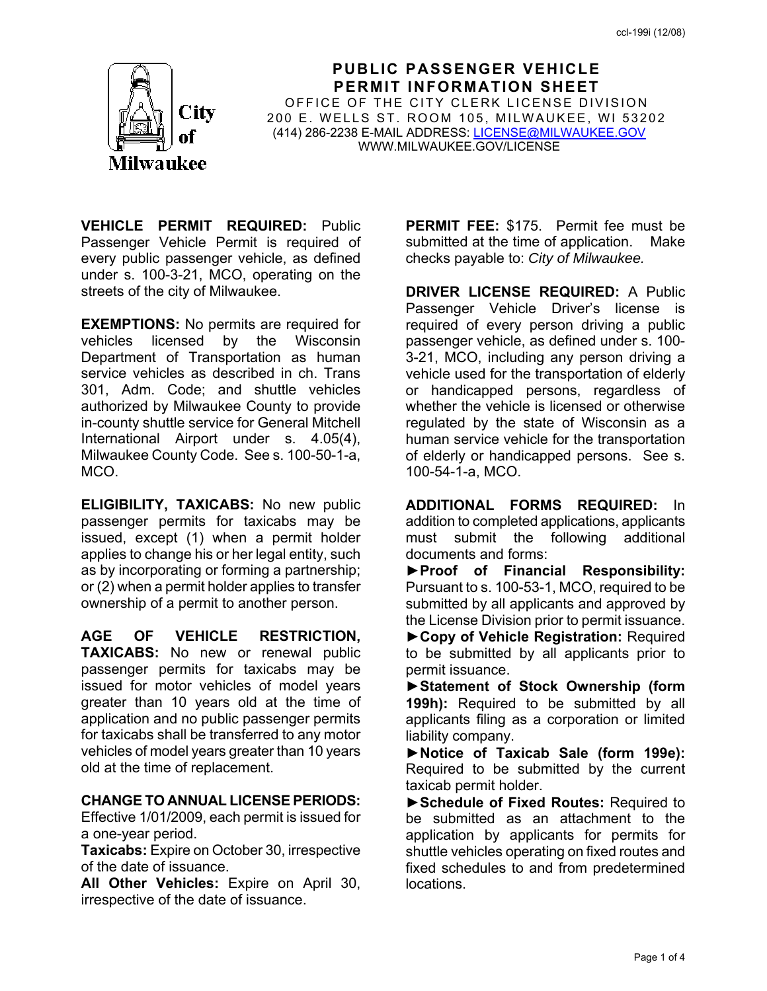

**PUBLIC PASSENGER VEHICLE PERMIT INFORMATION SHEET** OFFICE OF THE CITY CLERK LICENSE DIVISION 200 E. WELLS ST. ROOM 105, MILWAUKEE, WI 53202 (414) 286-2238 E-MAIL ADDRESS: LICENSE@MILWAUKEE.GOV WWW.MILWAUKEE.GOV/LICENSE

**VEHICLE PERMIT REQUIRED:** Public Passenger Vehicle Permit is required of every public passenger vehicle, as defined under s. 100-3-21, MCO, operating on the streets of the city of Milwaukee.

**EXEMPTIONS:** No permits are required for vehicles licensed by the Wisconsin Department of Transportation as human service vehicles as described in ch. Trans 301, Adm. Code; and shuttle vehicles authorized by Milwaukee County to provide in-county shuttle service for General Mitchell International Airport under s. 4.05(4), Milwaukee County Code. See s. 100-50-1-a, MCO.

**ELIGIBILITY, TAXICABS:** No new public passenger permits for taxicabs may be issued, except (1) when a permit holder applies to change his or her legal entity, such as by incorporating or forming a partnership; or (2) when a permit holder applies to transfer ownership of a permit to another person.

**AGE OF VEHICLE RESTRICTION, TAXICABS:** No new or renewal public passenger permits for taxicabs may be issued for motor vehicles of model years greater than 10 years old at the time of application and no public passenger permits for taxicabs shall be transferred to any motor vehicles of model years greater than 10 years old at the time of replacement.

### **CHANGE TO ANNUAL LICENSE PERIODS:**

Effective 1/01/2009, each permit is issued for a one-year period.

**Taxicabs:** Expire on October 30, irrespective of the date of issuance.

**All Other Vehicles:** Expire on April 30, irrespective of the date of issuance.

**PERMIT FEE:** \$175. Permit fee must be submitted at the time of application. Make checks payable to: *City of Milwaukee.* 

**DRIVER LICENSE REQUIRED:** A Public Passenger Vehicle Driver's license is required of every person driving a public passenger vehicle, as defined under s. 100- 3-21, MCO, including any person driving a vehicle used for the transportation of elderly or handicapped persons, regardless of whether the vehicle is licensed or otherwise regulated by the state of Wisconsin as a human service vehicle for the transportation of elderly or handicapped persons. See s. 100-54-1-a, MCO.

**ADDITIONAL FORMS REQUIRED:** In addition to completed applications, applicants must submit the following additional documents and forms:

**►Proof of Financial Responsibility:**  Pursuant to s. 100-53-1, MCO, required to be submitted by all applicants and approved by the License Division prior to permit issuance.

**►Copy of Vehicle Registration:** Required to be submitted by all applicants prior to permit issuance.

**►Statement of Stock Ownership (form 199h):** Required to be submitted by all applicants filing as a corporation or limited liability company.

**►Notice of Taxicab Sale (form 199e):**  Required to be submitted by the current taxicab permit holder.

**►Schedule of Fixed Routes:** Required to be submitted as an attachment to the application by applicants for permits for shuttle vehicles operating on fixed routes and fixed schedules to and from predetermined locations.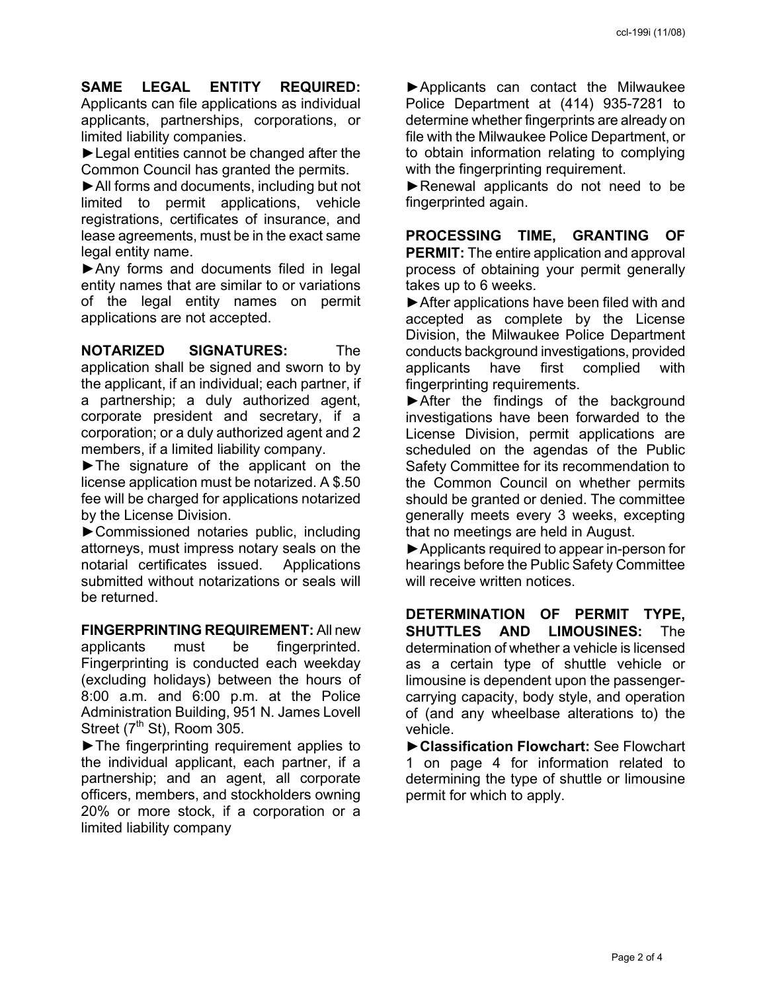**SAME LEGAL ENTITY REQUIRED:**  Applicants can file applications as individual applicants, partnerships, corporations, or limited liability companies.

**►**Legal entities cannot be changed after the Common Council has granted the permits.

**►**All forms and documents, including but not limited to permit applications, vehicle registrations, certificates of insurance, and lease agreements, must be in the exact same legal entity name.

**►**Any forms and documents filed in legal entity names that are similar to or variations of the legal entity names on permit applications are not accepted.

**NOTARIZED SIGNATURES:** The application shall be signed and sworn to by the applicant, if an individual; each partner, if a partnership; a duly authorized agent, corporate president and secretary, if a corporation; or a duly authorized agent and 2 members, if a limited liability company.

**►**The signature of the applicant on the license application must be notarized. A \$.50 fee will be charged for applications notarized by the License Division.

**►**Commissioned notaries public, including attorneys, must impress notary seals on the notarial certificates issued. Applications submitted without notarizations or seals will be returned.

**FINGERPRINTING REQUIREMENT:** All new applicants must be fingerprinted. Fingerprinting is conducted each weekday (excluding holidays) between the hours of 8:00 a.m. and 6:00 p.m. at the Police Administration Building, 951 N. James Lovell Street  $(7<sup>th</sup>$  St), Room 305.

**►**The fingerprinting requirement applies to the individual applicant, each partner, if a partnership; and an agent, all corporate officers, members, and stockholders owning 20% or more stock, if a corporation or a limited liability company

**►**Applicants can contact the Milwaukee Police Department at (414) 935-7281 to determine whether fingerprints are already on file with the Milwaukee Police Department, or to obtain information relating to complying with the fingerprinting requirement.

**►**Renewal applicants do not need to be fingerprinted again.

**PROCESSING TIME, GRANTING OF PERMIT:** The entire application and approval process of obtaining your permit generally takes up to 6 weeks.

**►**After applications have been filed with and accepted as complete by the License Division, the Milwaukee Police Department conducts background investigations, provided applicants have first complied with fingerprinting requirements.

**►**After the findings of the background investigations have been forwarded to the License Division, permit applications are scheduled on the agendas of the Public Safety Committee for its recommendation to the Common Council on whether permits should be granted or denied. The committee generally meets every 3 weeks, excepting that no meetings are held in August.

**►**Applicants required to appear in-person for hearings before the Public Safety Committee will receive written notices.

**DETERMINATION OF PERMIT TYPE, SHUTTLES AND LIMOUSINES:** The determination of whether a vehicle is licensed as a certain type of shuttle vehicle or limousine is dependent upon the passengercarrying capacity, body style, and operation of (and any wheelbase alterations to) the vehicle.

**►Classification Flowchart:** See Flowchart 1 on page 4 for information related to determining the type of shuttle or limousine permit for which to apply.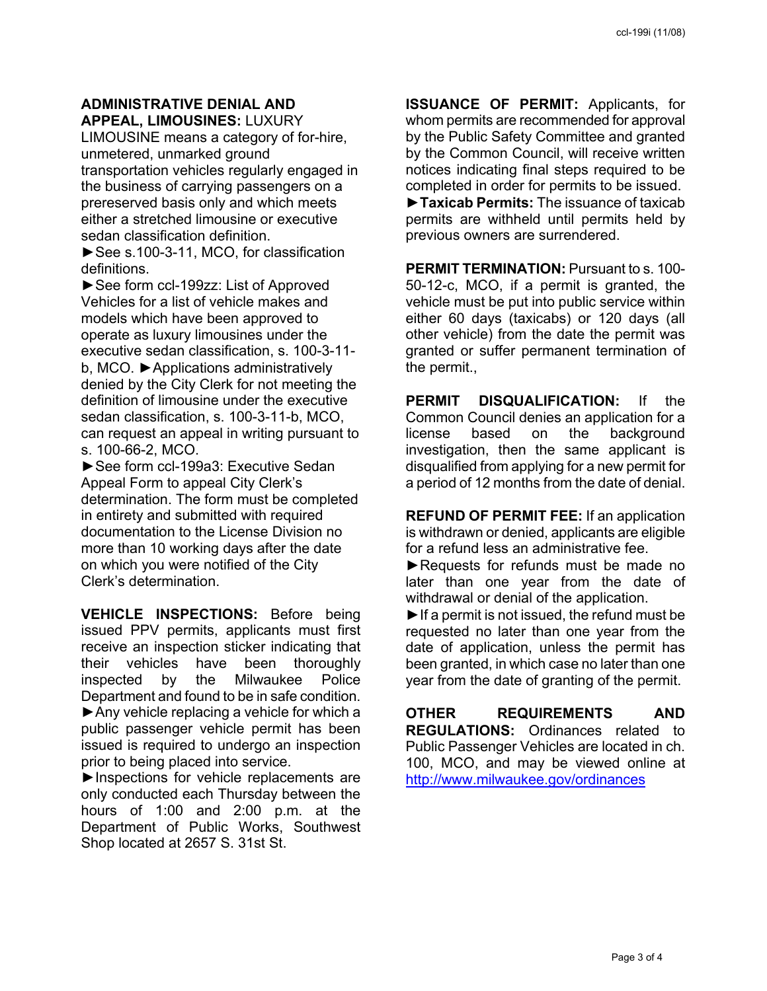#### **ADMINISTRATIVE DENIAL AND APPEAL, LIMOUSINES:** LUXURY

LIMOUSINE means a category of for-hire, unmetered, unmarked ground transportation vehicles regularly engaged in the business of carrying passengers on a prereserved basis only and which meets either a stretched limousine or executive sedan classification definition.

**►**See s.100-3-11, MCO, for classification definitions.

**►**See form ccl-199zz: List of Approved Vehicles for a list of vehicle makes and models which have been approved to operate as luxury limousines under the executive sedan classification, s. 100-3-11 b, MCO. **►**Applications administratively denied by the City Clerk for not meeting the definition of limousine under the executive sedan classification, s. 100-3-11-b, MCO, can request an appeal in writing pursuant to s. 100-66-2, MCO.

**►**See form ccl-199a3: Executive Sedan Appeal Form to appeal City Clerk's determination. The form must be completed in entirety and submitted with required documentation to the License Division no more than 10 working days after the date on which you were notified of the City Clerk's determination.

**VEHICLE INSPECTIONS:** Before being issued PPV permits, applicants must first receive an inspection sticker indicating that their vehicles have been thoroughly inspected by the Milwaukee Police Department and found to be in safe condition. ►Any vehicle replacing a vehicle for which a public passenger vehicle permit has been issued is required to undergo an inspection prior to being placed into service.

►Inspections for vehicle replacements are only conducted each Thursday between the hours of 1:00 and 2:00 p.m. at the Department of Public Works, Southwest Shop located at 2657 S. 31st St.

**ISSUANCE OF PERMIT:** Applicants, for whom permits are recommended for approval by the Public Safety Committee and granted by the Common Council, will receive written notices indicating final steps required to be completed in order for permits to be issued.

**►Taxicab Permits:** The issuance of taxicab permits are withheld until permits held by previous owners are surrendered.

**PERMIT TERMINATION:** Pursuant to s. 100- 50-12-c, MCO, if a permit is granted, the vehicle must be put into public service within either 60 days (taxicabs) or 120 days (all other vehicle) from the date the permit was granted or suffer permanent termination of the permit.,

**PERMIT DISQUALIFICATION:** If the Common Council denies an application for a license based on the background investigation, then the same applicant is disqualified from applying for a new permit for a period of 12 months from the date of denial.

**REFUND OF PERMIT FEE:** If an application is withdrawn or denied, applicants are eligible for a refund less an administrative fee.

**►**Requests for refunds must be made no later than one year from the date of withdrawal or denial of the application.

**►**If a permit is not issued, the refund must be requested no later than one year from the date of application, unless the permit has been granted, in which case no later than one year from the date of granting of the permit.

**OTHER REQUIREMENTS AND REGULATIONS:** Ordinances related to Public Passenger Vehicles are located in ch. 100, MCO, and may be viewed online at http://www.milwaukee.gov/ordinances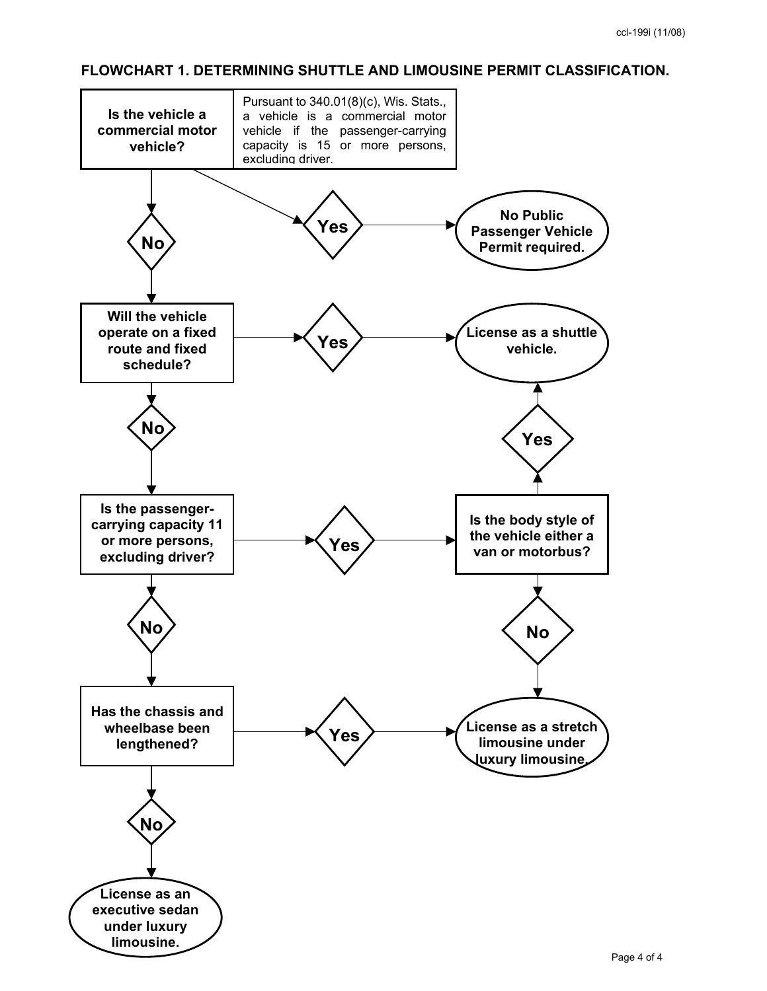#### **FLOWCHART 1. DETERMINING SHUTTLE AND LIMOUSINE PERMIT CLASSIFICATION.**

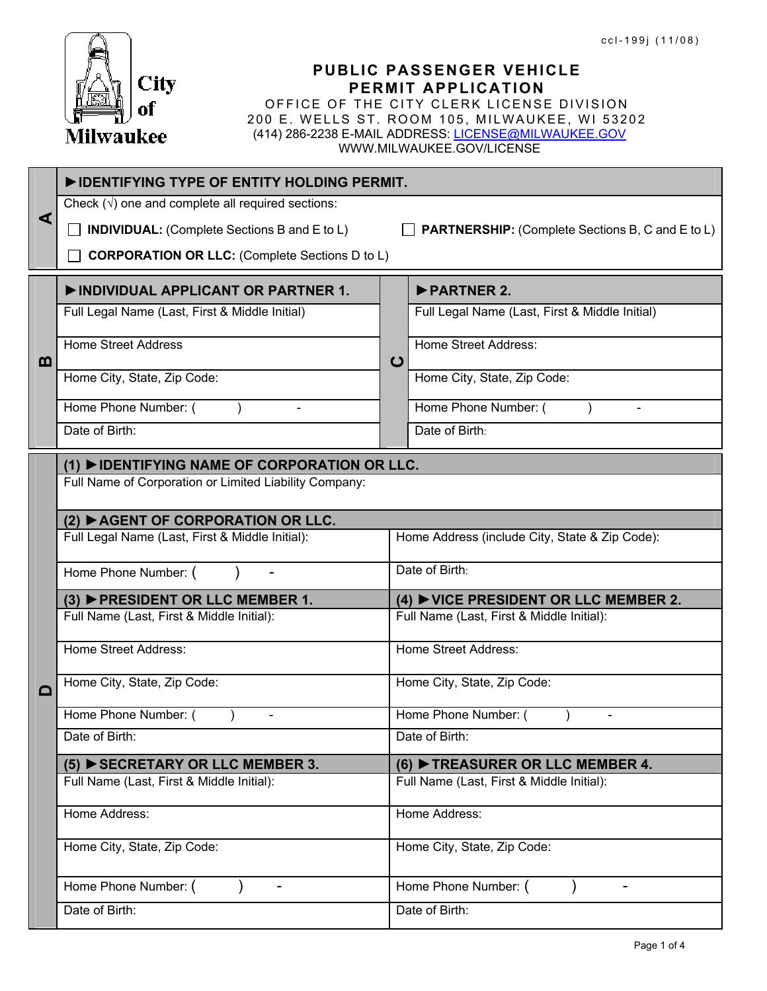

**A** 

**B** 

| City<br>of<br>Milwaukee                                   | ccl-199j (11/08)<br>PUBLIC PASSENGER VEHICLE<br>PERMIT APPLICATION<br>OFFICE OF THE CITY CLERK LICENSE DIVISION<br>200 E. WELLS ST. ROOM 105, MILWAUKEE, WI 53202<br>(414) 286-2238 E-MAIL ADDRESS: LICENSE@MILWAUKEE.GOV<br>WWW.MILWAUKEE.GOV/LICENSE |
|-----------------------------------------------------------|--------------------------------------------------------------------------------------------------------------------------------------------------------------------------------------------------------------------------------------------------------|
| DENTIFYING TYPE OF ENTITY HOLDING PERMIT.                 |                                                                                                                                                                                                                                                        |
| Check $(\sqrt{})$ one and complete all required sections: |                                                                                                                                                                                                                                                        |
| <b>INDIVIDUAL:</b> (Complete Sections B and E to L)       | <b>PARTNERSHIP:</b> (Complete Sections B, C and E to L)                                                                                                                                                                                                |
| <b>CORPORATION OR LLC:</b> (Complete Sections D to L)     |                                                                                                                                                                                                                                                        |
| INDIVIDUAL APPLICANT OR PARTNER 1.                        | PARTNER 2.                                                                                                                                                                                                                                             |
| Full Legal Name (Last, First & Middle Initial)            | Full Legal Name (Last, First & Middle Initial)                                                                                                                                                                                                         |
| <b>Home Street Address</b>                                | <b>Home Street Address:</b><br>$\mathbf C$                                                                                                                                                                                                             |
| Home City, State, Zip Code:                               | Home City, State, Zip Code:                                                                                                                                                                                                                            |
| Home Phone Number: (                                      | Home Phone Number: (                                                                                                                                                                                                                                   |
| Date of Birth:                                            | Date of Birth:                                                                                                                                                                                                                                         |
| (1) ▶ IDENTIFYING NAME OF CORPORATION OR LLC.             |                                                                                                                                                                                                                                                        |
| Full Name of Corporation or Limited Liability Company:    |                                                                                                                                                                                                                                                        |
| $(2)$ $\blacktriangleright$ AGENT OF CORPORATION OR LLC.  |                                                                                                                                                                                                                                                        |
| Full Legal Name (Last, First & Middle Initial):           | Home Address (include City, State & Zip Code):                                                                                                                                                                                                         |
| Home Phone Number: (                                      | Date of Birth:                                                                                                                                                                                                                                         |
| (3) ▶ PRESIDENT OR LLC MEMBER 1.                          | (4) $\blacktriangleright$ VICE PRESIDENT OR LLC MEMBER 2.                                                                                                                                                                                              |
| بالمستنب والمستهرف فمست                                   | $\Gamma$ and $\Omega$ $\Lambda$ $\Omega$ and $\Omega$ and $\Omega$ and $\Omega$                                                                                                                                                                        |

# $(1)$  ▶**IDENT**

|  | (2) ▶ AGENT OF CORPORATION OR LLC.                     |                                                             |  |  |  |  |
|--|--------------------------------------------------------|-------------------------------------------------------------|--|--|--|--|
|  | Full Legal Name (Last, First & Middle Initial):        | Home Address (include City, State & Zip Code):              |  |  |  |  |
|  | Home Phone Number: (                                   | Date of Birth:                                              |  |  |  |  |
|  | (3) PRESIDENT OR LLC MEMBER 1.                         | $(4)$ $\blacktriangleright$ VICE PRESIDENT OR LLC MEMBER 2. |  |  |  |  |
|  | Full Name (Last, First & Middle Initial):              | Full Name (Last, First & Middle Initial):                   |  |  |  |  |
|  | <b>Home Street Address:</b>                            | <b>Home Street Address:</b>                                 |  |  |  |  |
|  | Home City, State, Zip Code:                            | Home City, State, Zip Code:                                 |  |  |  |  |
|  | Home Phone Number: (<br>$\overline{\phantom{a}}$       | Home Phone Number: (<br>$\overline{\phantom{a}}$            |  |  |  |  |
|  | Date of Birth:                                         | Date of Birth:                                              |  |  |  |  |
|  | $(5)$ $\blacktriangleright$ SECRETARY OR LLC MEMBER 3. | $(6)$ $\blacktriangleright$ TREASURER OR LLC MEMBER 4.      |  |  |  |  |
|  | Full Name (Last, First & Middle Initial):              | Full Name (Last, First & Middle Initial):                   |  |  |  |  |
|  | Home Address:                                          | Home Address:                                               |  |  |  |  |
|  | Home City, State, Zip Code:                            | Home City, State, Zip Code:                                 |  |  |  |  |
|  | Home Phone Number: (                                   | Home Phone Number: (                                        |  |  |  |  |
|  | Date of Birth:                                         | Date of Birth:                                              |  |  |  |  |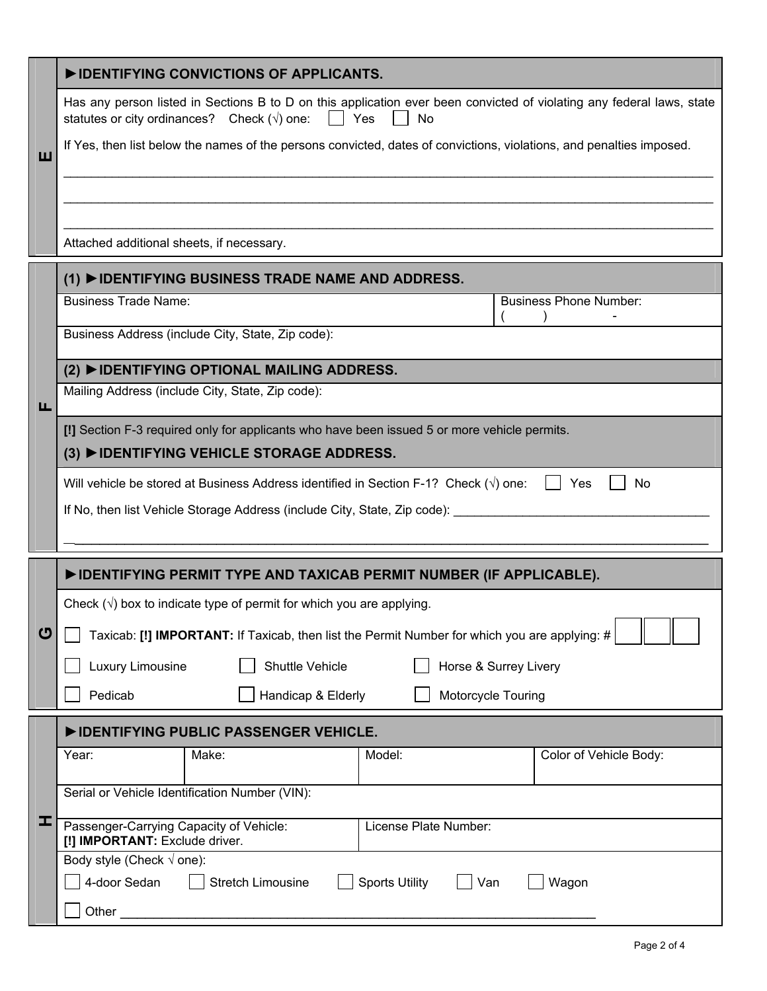| Has any person listed in Sections B to D on this application ever been convicted of violating any federal laws, state<br>statutes or city ordinances? Check $(\sqrt{})$ one:<br>$\vert$ $\vert$ Yes<br>No |  |  |  |
|-----------------------------------------------------------------------------------------------------------------------------------------------------------------------------------------------------------|--|--|--|
| If Yes, then list below the names of the persons convicted, dates of convictions, violations, and penalties imposed.                                                                                      |  |  |  |
|                                                                                                                                                                                                           |  |  |  |
|                                                                                                                                                                                                           |  |  |  |
| (1) ▶ IDENTIFYING BUSINESS TRADE NAME AND ADDRESS.                                                                                                                                                        |  |  |  |
| <b>Business Phone Number:</b>                                                                                                                                                                             |  |  |  |
| Business Address (include City, State, Zip code):                                                                                                                                                         |  |  |  |
| (2) ▶ IDENTIFYING OPTIONAL MAILING ADDRESS.                                                                                                                                                               |  |  |  |
| Mailing Address (include City, State, Zip code):                                                                                                                                                          |  |  |  |
| [!] Section F-3 required only for applicants who have been issued 5 or more vehicle permits.                                                                                                              |  |  |  |
| (3) ▶ IDENTIFYING VEHICLE STORAGE ADDRESS.                                                                                                                                                                |  |  |  |
| Will vehicle be stored at Business Address identified in Section F-1? Check $(\sqrt{})$ one:<br>$\vert$   Yes<br>No                                                                                       |  |  |  |
| If No, then list Vehicle Storage Address (include City, State, Zip code):                                                                                                                                 |  |  |  |
|                                                                                                                                                                                                           |  |  |  |
| DENTIFYING PERMIT TYPE AND TAXICAB PERMIT NUMBER (IF APPLICABLE).<br>Check $(\sqrt{ } )$ box to indicate type of permit for which you are applying.                                                       |  |  |  |
| Taxicab: [!] IMPORTANT: If Taxicab, then list the Permit Number for which you are applying: #                                                                                                             |  |  |  |
|                                                                                                                                                                                                           |  |  |  |
|                                                                                                                                                                                                           |  |  |  |
| DIDENTIFYING PUBLIC PASSENGER VEHICLE.                                                                                                                                                                    |  |  |  |
| Color of Vehicle Body:                                                                                                                                                                                    |  |  |  |
|                                                                                                                                                                                                           |  |  |  |
|                                                                                                                                                                                                           |  |  |  |
| Wagon                                                                                                                                                                                                     |  |  |  |
|                                                                                                                                                                                                           |  |  |  |
|                                                                                                                                                                                                           |  |  |  |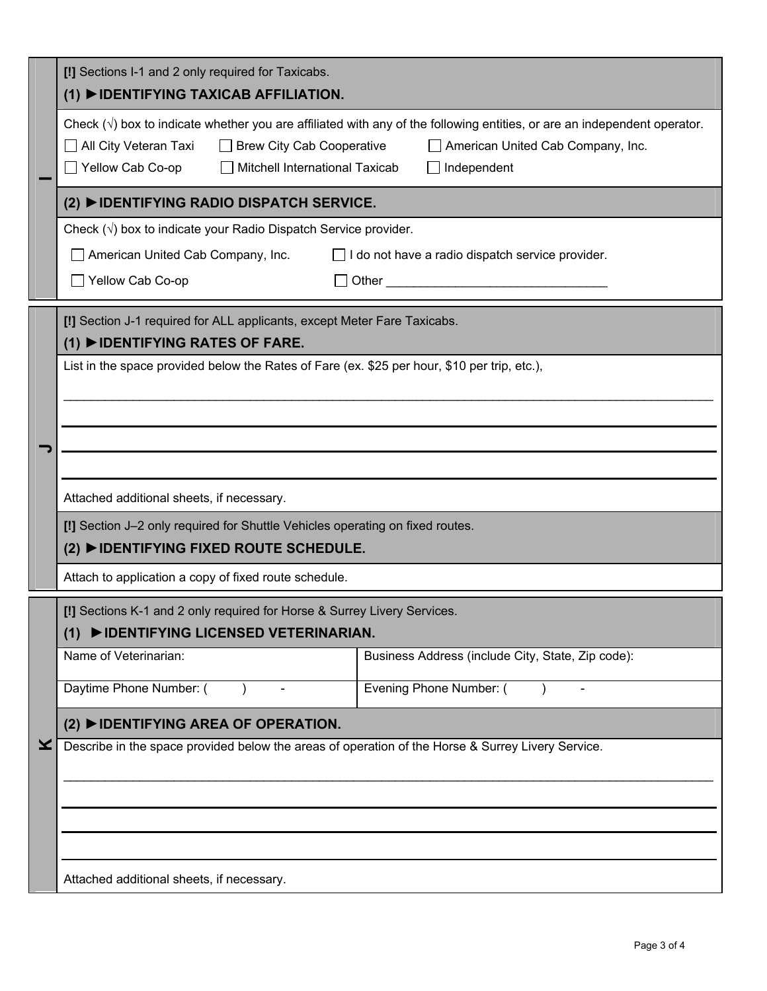|                                                       | [!] Sections I-1 and 2 only required for Taxicabs.<br>(1) DIDENTIFYING TAXICAB AFFILIATION.                                                                                                                                                                                                                      |  |  |  |  |
|-------------------------------------------------------|------------------------------------------------------------------------------------------------------------------------------------------------------------------------------------------------------------------------------------------------------------------------------------------------------------------|--|--|--|--|
|                                                       | Check $(\sqrt{)}$ box to indicate whether you are affiliated with any of the following entities, or are an independent operator.<br>□ All City Veteran Taxi<br><b>Brew City Cab Cooperative</b><br>American United Cab Company, Inc.<br>Yellow Cab Co-op<br>$\Box$ Mitchell International Taxicab<br>Independent |  |  |  |  |
|                                                       | (2) ▶ IDENTIFYING RADIO DISPATCH SERVICE.                                                                                                                                                                                                                                                                        |  |  |  |  |
|                                                       | Check $(\sqrt{})$ box to indicate your Radio Dispatch Service provider.                                                                                                                                                                                                                                          |  |  |  |  |
|                                                       | American United Cab Company, Inc.<br>I do not have a radio dispatch service provider.<br>$\perp$                                                                                                                                                                                                                 |  |  |  |  |
|                                                       | □ Yellow Cab Co-op<br>Other and the contract of the contract of the contract of the contract of the contract of the contract of the contract of the contract of the contract of the contract of the contract of the contract of the contract of the                                                              |  |  |  |  |
|                                                       | [!] Section J-1 required for ALL applicants, except Meter Fare Taxicabs.                                                                                                                                                                                                                                         |  |  |  |  |
|                                                       | $(1)$ $\triangleright$ IDENTIFYING RATES OF FARE.<br>List in the space provided below the Rates of Fare (ex. \$25 per hour, \$10 per trip, etc.),                                                                                                                                                                |  |  |  |  |
|                                                       |                                                                                                                                                                                                                                                                                                                  |  |  |  |  |
|                                                       |                                                                                                                                                                                                                                                                                                                  |  |  |  |  |
|                                                       |                                                                                                                                                                                                                                                                                                                  |  |  |  |  |
|                                                       |                                                                                                                                                                                                                                                                                                                  |  |  |  |  |
|                                                       | Attached additional sheets, if necessary.                                                                                                                                                                                                                                                                        |  |  |  |  |
|                                                       | [!] Section J-2 only required for Shuttle Vehicles operating on fixed routes.                                                                                                                                                                                                                                    |  |  |  |  |
|                                                       | (2) ▶ IDENTIFYING FIXED ROUTE SCHEDULE.                                                                                                                                                                                                                                                                          |  |  |  |  |
| Attach to application a copy of fixed route schedule. |                                                                                                                                                                                                                                                                                                                  |  |  |  |  |
|                                                       | [!] Sections K-1 and 2 only required for Horse & Surrey Livery Services.                                                                                                                                                                                                                                         |  |  |  |  |
|                                                       | (1) ▶ IDENTIFYING LICENSED VETERINARIAN.<br>Name of Veterinarian:<br>Business Address (include City, State, Zip code):                                                                                                                                                                                           |  |  |  |  |
|                                                       |                                                                                                                                                                                                                                                                                                                  |  |  |  |  |
|                                                       | Daytime Phone Number: (<br>Evening Phone Number: (                                                                                                                                                                                                                                                               |  |  |  |  |
|                                                       | (2) ▶ IDENTIFYING AREA OF OPERATION.                                                                                                                                                                                                                                                                             |  |  |  |  |
| X.                                                    | Describe in the space provided below the areas of operation of the Horse & Surrey Livery Service.                                                                                                                                                                                                                |  |  |  |  |
|                                                       |                                                                                                                                                                                                                                                                                                                  |  |  |  |  |
|                                                       |                                                                                                                                                                                                                                                                                                                  |  |  |  |  |
|                                                       |                                                                                                                                                                                                                                                                                                                  |  |  |  |  |
|                                                       | Attached additional sheets, if necessary.                                                                                                                                                                                                                                                                        |  |  |  |  |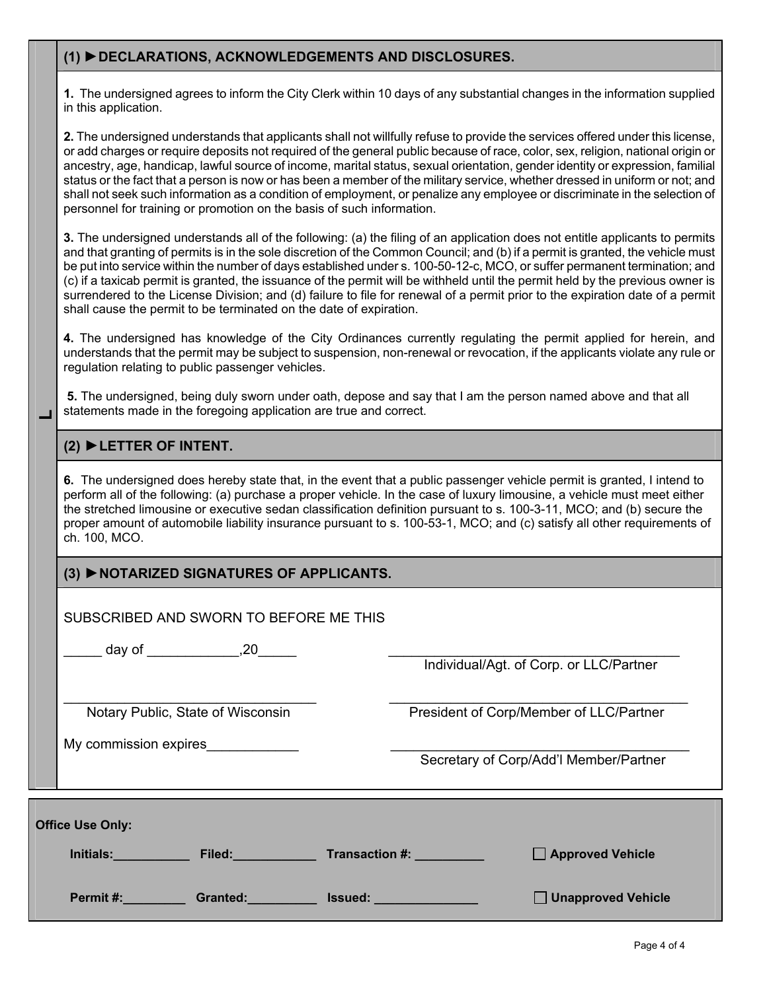## **(1) ►DECLARATIONS, ACKNOWLEDGEMENTS AND DISCLOSURES.**

**1.** The undersigned agrees to inform the City Clerk within 10 days of any substantial changes in the information supplied in this application.

**2.** The undersigned understands that applicants shall not willfully refuse to provide the services offered under this license, or add charges or require deposits not required of the general public because of race, color, sex, religion, national origin or ancestry, age, handicap, lawful source of income, marital status, sexual orientation, gender identity or expression, familial status or the fact that a person is now or has been a member of the military service, whether dressed in uniform or not; and shall not seek such information as a condition of employment, or penalize any employee or discriminate in the selection of personnel for training or promotion on the basis of such information.

**3.** The undersigned understands all of the following: (a) the filing of an application does not entitle applicants to permits and that granting of permits is in the sole discretion of the Common Council; and (b) if a permit is granted, the vehicle must be put into service within the number of days established under s. 100-50-12-c, MCO, or suffer permanent termination; and (c) if a taxicab permit is granted, the issuance of the permit will be withheld until the permit held by the previous owner is surrendered to the License Division; and (d) failure to file for renewal of a permit prior to the expiration date of a permit shall cause the permit to be terminated on the date of expiration.

**4.** The undersigned has knowledge of the City Ordinances currently regulating the permit applied for herein, and understands that the permit may be subject to suspension, non-renewal or revocation, if the applicants violate any rule or regulation relating to public passenger vehicles.

**5.** The undersigned, being duly sworn under oath, depose and say that I am the person named above and that all statements made in the foregoing application are true and correct.

#### **(2) ►LETTER OF INTENT.**

**L** 

**6.** The undersigned does hereby state that, in the event that a public passenger vehicle permit is granted, I intend to perform all of the following: (a) purchase a proper vehicle. In the case of luxury limousine, a vehicle must meet either the stretched limousine or executive sedan classification definition pursuant to s. 100-3-11, MCO; and (b) secure the proper amount of automobile liability insurance pursuant to s. 100-53-1, MCO; and (c) satisfy all other requirements of ch. 100, MCO.

## **(3) ►NOTARIZED SIGNATURES OF APPLICANTS.**

| SUBSCRIBED AND SWORN TO BEFORE ME THIS | ___ day of ______________,20_____                                                                                                                                                                                             |                |  |                                         |  |
|----------------------------------------|-------------------------------------------------------------------------------------------------------------------------------------------------------------------------------------------------------------------------------|----------------|--|-----------------------------------------|--|
|                                        |                                                                                                                                                                                                                               |                |  | Individual/Agt. of Corp. or LLC/Partner |  |
|                                        | Notary Public, State of Wisconsin                                                                                                                                                                                             |                |  | President of Corp/Member of LLC/Partner |  |
| My commission expires                  |                                                                                                                                                                                                                               |                |  | Secretary of Corp/Add'l Member/Partner  |  |
| <b>Office Use Only:</b>                |                                                                                                                                                                                                                               |                |  |                                         |  |
|                                        | Initials: Filed: Transaction #:                                                                                                                                                                                               |                |  | Approved Vehicle                        |  |
| Permit #: www.com/                     | Granted: Case of Canada and Canada and Canada and Canada and Canada and Canada and Canada and Canada and Canada and Canada and Canada and Canada and Canada and Canada and Canada and Canada and Canada and Canada and Canada | <b>Issued:</b> |  | <b>Unapproved Vehicle</b>               |  |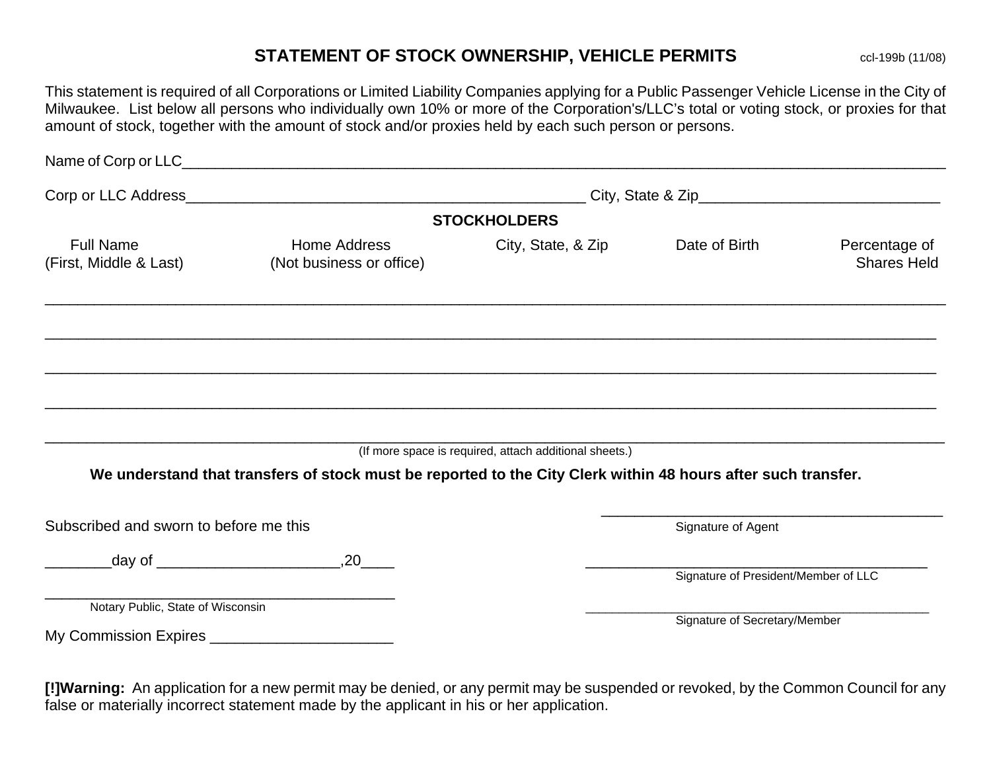# **STATEMENT OF STOCK OWNERSHIP, VEHICLE PERMITS** ccl-199b (11/08)

This statement is required of all Corporations or Limited Liability Companies applying for a Public Passenger Vehicle License in the City of Milwaukee. List below all persons who individually own 10% or more of the Corporation's/LLC's total or voting stock, or proxies for that amount of stock, together with the amount of stock and/or proxies held by each such person or persons.

| Name of Corp or LLC_                               | <u> 1989 - Johann John Stone, Amerikaansk politiker (* 1989)</u>                                              |                                                        |                                      |                                     |
|----------------------------------------------------|---------------------------------------------------------------------------------------------------------------|--------------------------------------------------------|--------------------------------------|-------------------------------------|
|                                                    |                                                                                                               |                                                        |                                      |                                     |
|                                                    |                                                                                                               | <b>STOCKHOLDERS</b>                                    |                                      |                                     |
| <b>Full Name</b><br>(First, Middle & Last)         | Home Address<br>(Not business or office)                                                                      | City, State, & Zip                                     | Date of Birth                        | Percentage of<br><b>Shares Held</b> |
|                                                    |                                                                                                               |                                                        |                                      |                                     |
|                                                    |                                                                                                               |                                                        |                                      |                                     |
|                                                    |                                                                                                               | (If more space is required, attach additional sheets.) |                                      |                                     |
|                                                    | We understand that transfers of stock must be reported to the City Clerk within 48 hours after such transfer. |                                                        |                                      |                                     |
| Subscribed and sworn to before me this             |                                                                                                               |                                                        | Signature of Agent                   |                                     |
|                                                    |                                                                                                               |                                                        |                                      |                                     |
|                                                    |                                                                                                               |                                                        | Signature of President/Member of LLC |                                     |
| Notary Public, State of Wisconsin                  |                                                                                                               |                                                        | Signature of Secretary/Member        |                                     |
| My Commission Expires ____________________________ |                                                                                                               |                                                        |                                      |                                     |
|                                                    |                                                                                                               |                                                        |                                      |                                     |

**[!]Warning:** An application for a new permit may be denied, or any permit may be suspended or revoked, by the Common Council for any false or materially incorrect statement made by the applicant in his or her application.